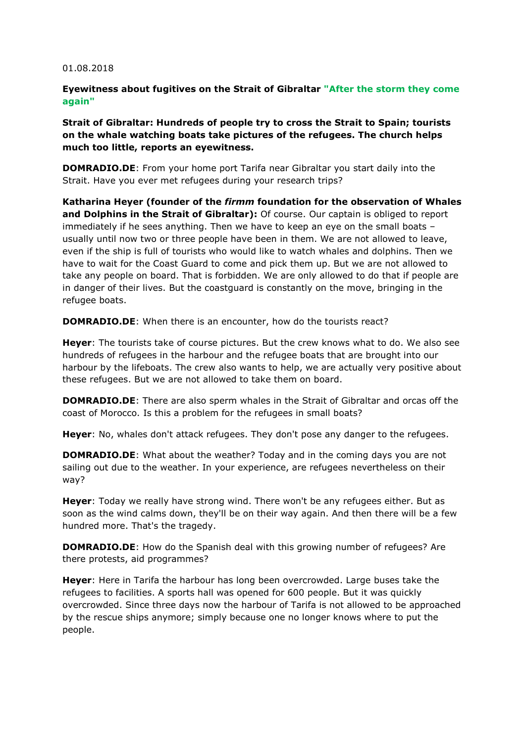## 01.08.2018

## **Eyewitness about fugitives on the Strait of Gibraltar "After the storm they come again"**

**Strait of Gibraltar: Hundreds of people try to cross the Strait to Spain; tourists on the whale watching boats take pictures of the refugees. The church helps much too little, reports an eyewitness.** 

**DOMRADIO.DE**: From your home port Tarifa near Gibraltar you start daily into the Strait. Have you ever met refugees during your research trips?

**Katharina Heyer (founder of the** *firmm* **foundation for the observation of Whales and Dolphins in the Strait of Gibraltar):** Of course. Our captain is obliged to report immediately if he sees anything. Then we have to keep an eye on the small boats – usually until now two or three people have been in them. We are not allowed to leave, even if the ship is full of tourists who would like to watch whales and dolphins. Then we have to wait for the Coast Guard to come and pick them up. But we are not allowed to take any people on board. That is forbidden. We are only allowed to do that if people are in danger of their lives. But the coastguard is constantly on the move, bringing in the refugee boats.

**DOMRADIO.DE**: When there is an encounter, how do the tourists react?

**Heyer**: The tourists take of course pictures. But the crew knows what to do. We also see hundreds of refugees in the harbour and the refugee boats that are brought into our harbour by the lifeboats. The crew also wants to help, we are actually very positive about these refugees. But we are not allowed to take them on board.

**DOMRADIO.DE**: There are also sperm whales in the Strait of Gibraltar and orcas off the coast of Morocco. Is this a problem for the refugees in small boats?

**Heyer**: No, whales don't attack refugees. They don't pose any danger to the refugees.

**DOMRADIO.DE**: What about the weather? Today and in the coming days you are not sailing out due to the weather. In your experience, are refugees nevertheless on their way?

**Heyer**: Today we really have strong wind. There won't be any refugees either. But as soon as the wind calms down, they'll be on their way again. And then there will be a few hundred more. That's the tragedy.

**DOMRADIO.DE**: How do the Spanish deal with this growing number of refugees? Are there protests, aid programmes?

**Heyer**: Here in Tarifa the harbour has long been overcrowded. Large buses take the refugees to facilities. A sports hall was opened for 600 people. But it was quickly overcrowded. Since three days now the harbour of Tarifa is not allowed to be approached by the rescue ships anymore; simply because one no longer knows where to put the people.